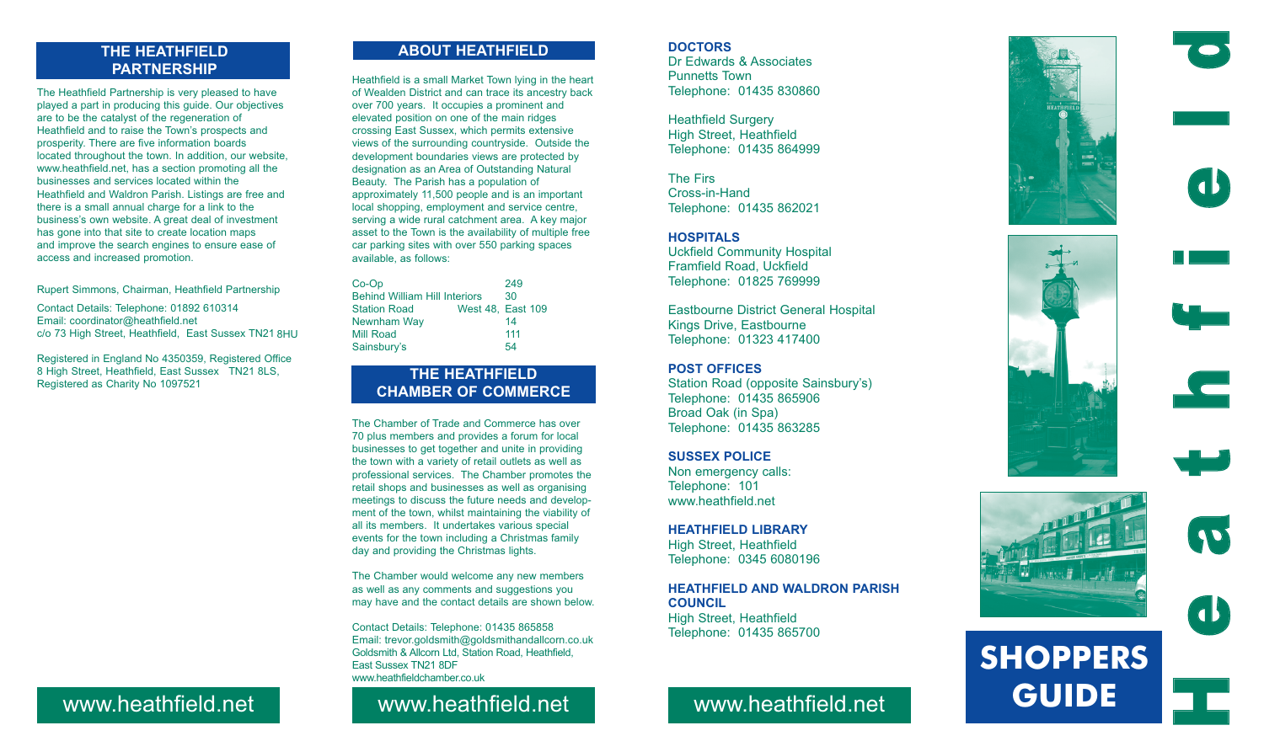## **THE HEATHFIELD PARTNERSHIP**

The Heathfield Partnership is very pleased to have played a part in producing this guide. Our objectives are to be the catalyst of the regeneration of Heathfield and to raise the Town's prospects and prosperity. There are five information boards located throughout the town. In addition, our website, www.heathfield.net, has a section promoting all the businesses and services located within the Heathfield and Waldron Parish. Listings are free and there is a small annual charge for a link to the business's own website. A great deal of investment has gone into that site to create location maps and improve the search engines to ensure ease of access and increased promotion.

Rupert Simmons, Chairman, Heathfield Partnership

Registered in England No 4350359, Registered Office 8 High Street, Heathfield, East Sussex TN21 8LS, Registered as Charity No 1097521

# **ABOUT HEATHFIELD**

Heathfield is a small Market Town lying in the heart of Wealden District and can trace its ancestry back over 700 years. It occupies a prominent and elevated position on one of the main ridges crossing East Sussex, which permits extensive views of the surrounding countryside. Outside the development boundaries views are protected by designation as an Area of Outstanding Natural Beauty. The Parish has a population of approximately 11,500 people and is an important local shopping, employment and service centre, serving a wide rural catchment area. A key major asset to the Town is the availability of multiple free car parking sites with over 550 parking spaces available, as follows:

| $Co-Op$                              |  | 249               |
|--------------------------------------|--|-------------------|
| <b>Behind William Hill Interiors</b> |  | 30                |
| <b>Station Road</b>                  |  | West 48, East 109 |
| Newnham Way                          |  | 14                |
| Mill Road                            |  | 111               |
| Sainsbury's                          |  | 54                |

# **THE HEATHFIELD CHAMBER OF COMMERCE**

Contact Details: Telephone: 01892 610314 Email: coordinator@heathfield.net c/o 73 High Street, Heathfield, East Sussex TN21 8HU

> The Chamber of Trade and Commerce has over 70 plus members and provides a forum for local businesses to get together and unite in providing the town with a variety of retail outlets as well as professional services. The Chamber promotes the retail shops and businesses as well as organising meetings to discuss the future needs and development of the town, whilst maintaining the viability of all its members. It undertakes various special events for the town including a Christmas family day and providing the Christmas lights.

> The Chamber would welcome any new members as well as any comments and suggestions you may have and the contact details are shown below.

> Contact Details: Telephone: 01435 865858 Email: trevor.goldsmith@goldsmithandallcorn.co.uk Goldsmith & Allcorn Ltd, Station Road, Heathfield, East Sussex TN21 8DF www.heathfieldchamber.co.uk

### **DOCTORS**

Dr Edwards & Associates Punnetts Town Telephone: 01435 830860

Heathfield Surgery High Street, Heathfield Telephone: 01435 864999

The Firs Cross-in-Hand Telephone: 01435 862021

### **HOSPITALS**

Uckfield Community Hospital Framfield Road, Uckfield Telephone: 01825 769999

Eastbourne District General Hospital Kings Drive, Eastbourne Telephone: 01323 417400

### **POST OFFICES**

Station Road (opposite Sainsbury's) Telephone: 01435 865906 Broad Oak (in Spa) Telephone: 01435 863285

### **SUSSEX POLICE**

Non emergency calls: Telephone: 101 www.heathfield.net

### **HEATHFIELD LIBRARY**

High Street, Heathfield Telephone: 0345 6080196

### **HEATHFIELD AND WALDRON PARISH COUNCIL**

High Street, Heathfield Telephone: 01435 865700

# www.heathfield.net www.heathfield.net www.heathfield.net